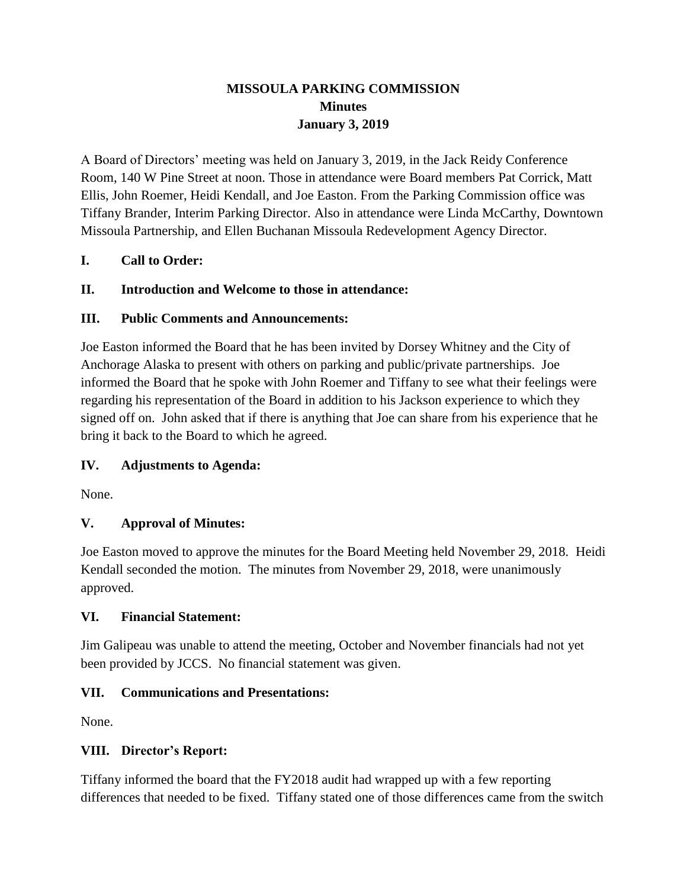# **MISSOULA PARKING COMMISSION Minutes January 3, 2019**

A Board of Directors' meeting was held on January 3, 2019, in the Jack Reidy Conference Room, 140 W Pine Street at noon. Those in attendance were Board members Pat Corrick, Matt Ellis, John Roemer, Heidi Kendall, and Joe Easton. From the Parking Commission office was Tiffany Brander, Interim Parking Director. Also in attendance were Linda McCarthy, Downtown Missoula Partnership, and Ellen Buchanan Missoula Redevelopment Agency Director.

## **I. Call to Order:**

## **II. Introduction and Welcome to those in attendance:**

### **III. Public Comments and Announcements:**

Joe Easton informed the Board that he has been invited by Dorsey Whitney and the City of Anchorage Alaska to present with others on parking and public/private partnerships. Joe informed the Board that he spoke with John Roemer and Tiffany to see what their feelings were regarding his representation of the Board in addition to his Jackson experience to which they signed off on. John asked that if there is anything that Joe can share from his experience that he bring it back to the Board to which he agreed.

# **IV. Adjustments to Agenda:**

None.

# **V. Approval of Minutes:**

Joe Easton moved to approve the minutes for the Board Meeting held November 29, 2018. Heidi Kendall seconded the motion. The minutes from November 29, 2018, were unanimously approved.

### **VI. Financial Statement:**

Jim Galipeau was unable to attend the meeting, October and November financials had not yet been provided by JCCS. No financial statement was given.

### **VII. Communications and Presentations:**

None.

### **VIII. Director's Report:**

Tiffany informed the board that the FY2018 audit had wrapped up with a few reporting differences that needed to be fixed. Tiffany stated one of those differences came from the switch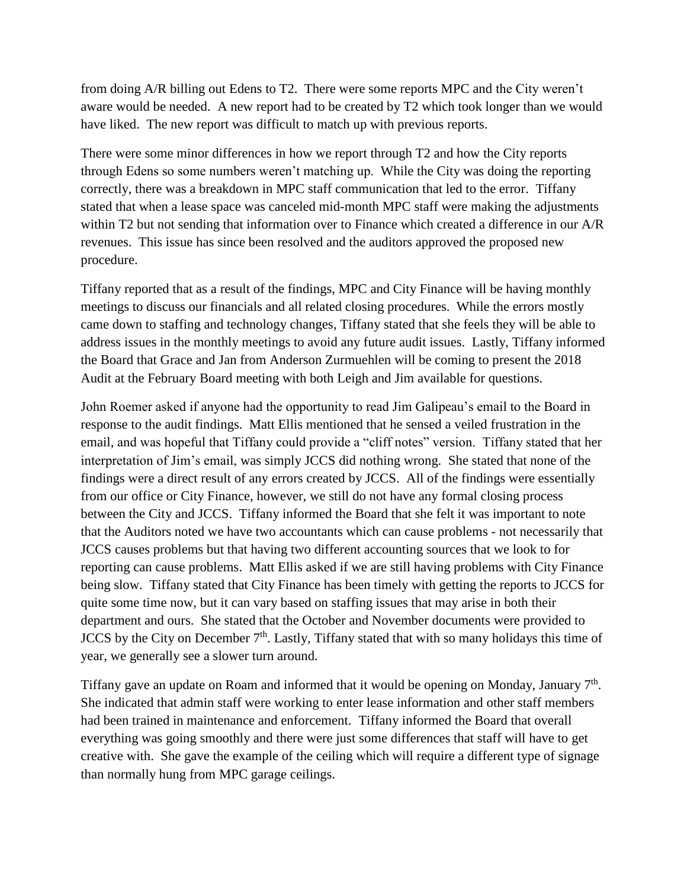from doing A/R billing out Edens to T2. There were some reports MPC and the City weren't aware would be needed. A new report had to be created by T2 which took longer than we would have liked. The new report was difficult to match up with previous reports.

There were some minor differences in how we report through T2 and how the City reports through Edens so some numbers weren't matching up. While the City was doing the reporting correctly, there was a breakdown in MPC staff communication that led to the error. Tiffany stated that when a lease space was canceled mid-month MPC staff were making the adjustments within T2 but not sending that information over to Finance which created a difference in our A/R revenues. This issue has since been resolved and the auditors approved the proposed new procedure.

Tiffany reported that as a result of the findings, MPC and City Finance will be having monthly meetings to discuss our financials and all related closing procedures. While the errors mostly came down to staffing and technology changes, Tiffany stated that she feels they will be able to address issues in the monthly meetings to avoid any future audit issues. Lastly, Tiffany informed the Board that Grace and Jan from Anderson Zurmuehlen will be coming to present the 2018 Audit at the February Board meeting with both Leigh and Jim available for questions.

John Roemer asked if anyone had the opportunity to read Jim Galipeau's email to the Board in response to the audit findings. Matt Ellis mentioned that he sensed a veiled frustration in the email, and was hopeful that Tiffany could provide a "cliff notes" version. Tiffany stated that her interpretation of Jim's email, was simply JCCS did nothing wrong. She stated that none of the findings were a direct result of any errors created by JCCS. All of the findings were essentially from our office or City Finance, however, we still do not have any formal closing process between the City and JCCS. Tiffany informed the Board that she felt it was important to note that the Auditors noted we have two accountants which can cause problems - not necessarily that JCCS causes problems but that having two different accounting sources that we look to for reporting can cause problems. Matt Ellis asked if we are still having problems with City Finance being slow. Tiffany stated that City Finance has been timely with getting the reports to JCCS for quite some time now, but it can vary based on staffing issues that may arise in both their department and ours. She stated that the October and November documents were provided to JCCS by the City on December  $7<sup>th</sup>$ . Lastly, Tiffany stated that with so many holidays this time of year, we generally see a slower turn around.

Tiffany gave an update on Roam and informed that it would be opening on Monday, January  $7<sup>th</sup>$ . She indicated that admin staff were working to enter lease information and other staff members had been trained in maintenance and enforcement. Tiffany informed the Board that overall everything was going smoothly and there were just some differences that staff will have to get creative with. She gave the example of the ceiling which will require a different type of signage than normally hung from MPC garage ceilings.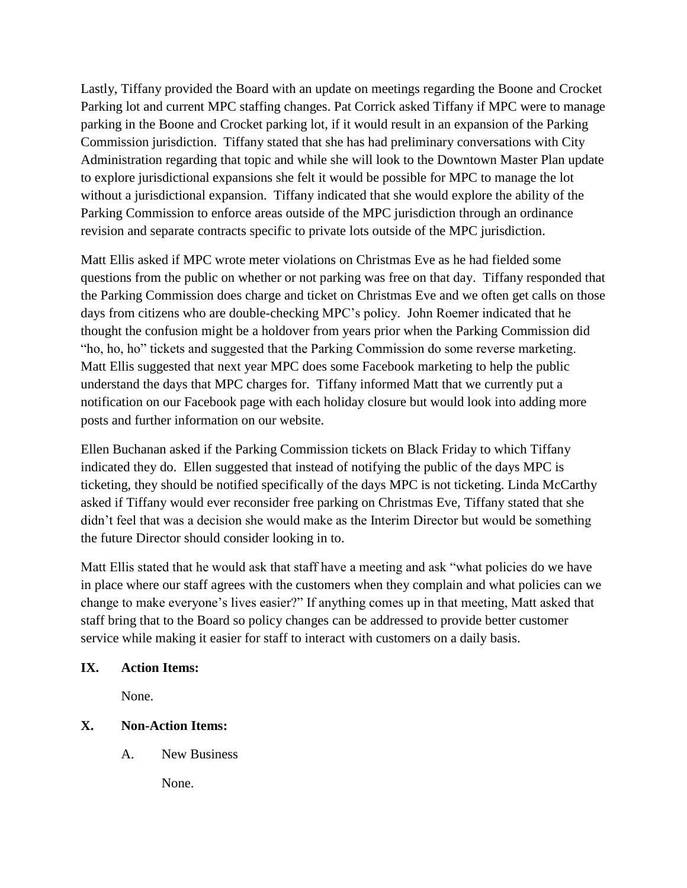Lastly, Tiffany provided the Board with an update on meetings regarding the Boone and Crocket Parking lot and current MPC staffing changes. Pat Corrick asked Tiffany if MPC were to manage parking in the Boone and Crocket parking lot, if it would result in an expansion of the Parking Commission jurisdiction. Tiffany stated that she has had preliminary conversations with City Administration regarding that topic and while she will look to the Downtown Master Plan update to explore jurisdictional expansions she felt it would be possible for MPC to manage the lot without a jurisdictional expansion. Tiffany indicated that she would explore the ability of the Parking Commission to enforce areas outside of the MPC jurisdiction through an ordinance revision and separate contracts specific to private lots outside of the MPC jurisdiction.

Matt Ellis asked if MPC wrote meter violations on Christmas Eve as he had fielded some questions from the public on whether or not parking was free on that day. Tiffany responded that the Parking Commission does charge and ticket on Christmas Eve and we often get calls on those days from citizens who are double-checking MPC's policy. John Roemer indicated that he thought the confusion might be a holdover from years prior when the Parking Commission did "ho, ho, ho" tickets and suggested that the Parking Commission do some reverse marketing. Matt Ellis suggested that next year MPC does some Facebook marketing to help the public understand the days that MPC charges for. Tiffany informed Matt that we currently put a notification on our Facebook page with each holiday closure but would look into adding more posts and further information on our website.

Ellen Buchanan asked if the Parking Commission tickets on Black Friday to which Tiffany indicated they do. Ellen suggested that instead of notifying the public of the days MPC is ticketing, they should be notified specifically of the days MPC is not ticketing. Linda McCarthy asked if Tiffany would ever reconsider free parking on Christmas Eve, Tiffany stated that she didn't feel that was a decision she would make as the Interim Director but would be something the future Director should consider looking in to.

Matt Ellis stated that he would ask that staff have a meeting and ask "what policies do we have in place where our staff agrees with the customers when they complain and what policies can we change to make everyone's lives easier?" If anything comes up in that meeting, Matt asked that staff bring that to the Board so policy changes can be addressed to provide better customer service while making it easier for staff to interact with customers on a daily basis.

### **IX. Action Items:**

None.

### **X. Non-Action Items:**

A. New Business

None.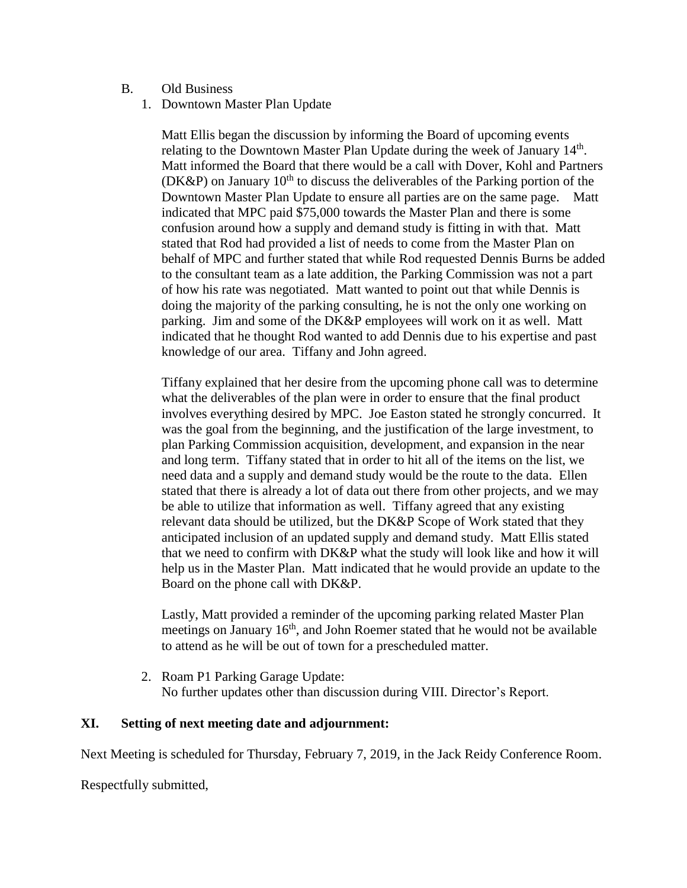#### B. Old Business

1. Downtown Master Plan Update

Matt Ellis began the discussion by informing the Board of upcoming events relating to the Downtown Master Plan Update during the week of January 14<sup>th</sup>. Matt informed the Board that there would be a call with Dover, Kohl and Partners (DK&P) on January  $10^{th}$  to discuss the deliverables of the Parking portion of the Downtown Master Plan Update to ensure all parties are on the same page. Matt indicated that MPC paid \$75,000 towards the Master Plan and there is some confusion around how a supply and demand study is fitting in with that. Matt stated that Rod had provided a list of needs to come from the Master Plan on behalf of MPC and further stated that while Rod requested Dennis Burns be added to the consultant team as a late addition, the Parking Commission was not a part of how his rate was negotiated. Matt wanted to point out that while Dennis is doing the majority of the parking consulting, he is not the only one working on parking. Jim and some of the DK&P employees will work on it as well. Matt indicated that he thought Rod wanted to add Dennis due to his expertise and past knowledge of our area. Tiffany and John agreed.

Tiffany explained that her desire from the upcoming phone call was to determine what the deliverables of the plan were in order to ensure that the final product involves everything desired by MPC. Joe Easton stated he strongly concurred. It was the goal from the beginning, and the justification of the large investment, to plan Parking Commission acquisition, development, and expansion in the near and long term. Tiffany stated that in order to hit all of the items on the list, we need data and a supply and demand study would be the route to the data. Ellen stated that there is already a lot of data out there from other projects, and we may be able to utilize that information as well. Tiffany agreed that any existing relevant data should be utilized, but the DK&P Scope of Work stated that they anticipated inclusion of an updated supply and demand study. Matt Ellis stated that we need to confirm with DK&P what the study will look like and how it will help us in the Master Plan. Matt indicated that he would provide an update to the Board on the phone call with DK&P.

Lastly, Matt provided a reminder of the upcoming parking related Master Plan meetings on January 16<sup>th</sup>, and John Roemer stated that he would not be available to attend as he will be out of town for a prescheduled matter.

2. Roam P1 Parking Garage Update: No further updates other than discussion during VIII. Director's Report.

#### **XI. Setting of next meeting date and adjournment:**

Next Meeting is scheduled for Thursday, February 7, 2019, in the Jack Reidy Conference Room.

Respectfully submitted,